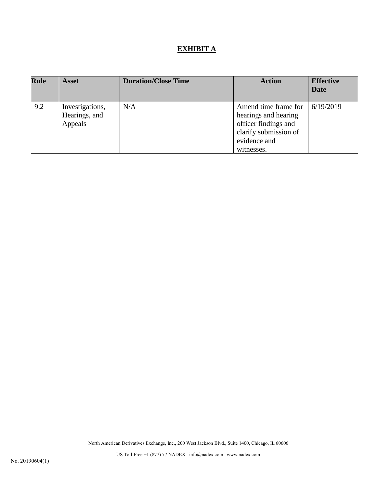# **EXHIBIT A**

| <b>Rule</b> | <b>Asset</b>                                | <b>Duration/Close Time</b> | <b>Action</b>                                                                                                               | <b>Effective</b><br>Date |
|-------------|---------------------------------------------|----------------------------|-----------------------------------------------------------------------------------------------------------------------------|--------------------------|
| 9.2         | Investigations,<br>Hearings, and<br>Appeals | N/A                        | Amend time frame for<br>hearings and hearing<br>officer findings and<br>clarify submission of<br>evidence and<br>witnesses. | 6/19/2019                |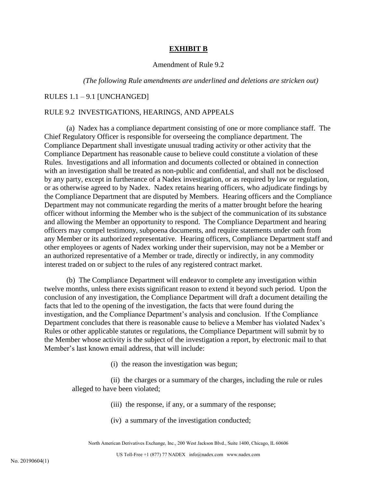## **EXHIBIT B**

## Amendment of Rule 9.2

#### *(The following Rule amendments are underlined and deletions are stricken out)*

#### RULES 1.1 – 9.1 [UNCHANGED]

# RULE 9.2 INVESTIGATIONS, HEARINGS, AND APPEALS

(a) Nadex has a compliance department consisting of one or more compliance staff. The Chief Regulatory Officer is responsible for overseeing the compliance department. The Compliance Department shall investigate unusual trading activity or other activity that the Compliance Department has reasonable cause to believe could constitute a violation of these Rules. Investigations and all information and documents collected or obtained in connection with an investigation shall be treated as non-public and confidential, and shall not be disclosed by any party, except in furtherance of a Nadex investigation, or as required by law or regulation, or as otherwise agreed to by Nadex. Nadex retains hearing officers, who adjudicate findings by the Compliance Department that are disputed by Members. Hearing officers and the Compliance Department may not communicate regarding the merits of a matter brought before the hearing officer without informing the Member who is the subject of the communication of its substance and allowing the Member an opportunity to respond. The Compliance Department and hearing officers may compel testimony, subpoena documents, and require statements under oath from any Member or its authorized representative. Hearing officers, Compliance Department staff and other employees or agents of Nadex working under their supervision, may not be a Member or an authorized representative of a Member or trade, directly or indirectly, in any commodity interest traded on or subject to the rules of any registered contract market.

(b) The Compliance Department will endeavor to complete any investigation within twelve months, unless there exists significant reason to extend it beyond such period. Upon the conclusion of any investigation, the Compliance Department will draft a document detailing the facts that led to the opening of the investigation, the facts that were found during the investigation, and the Compliance Department's analysis and conclusion. If the Compliance Department concludes that there is reasonable cause to believe a Member has violated Nadex's Rules or other applicable statutes or regulations, the Compliance Department will submit by to the Member whose activity is the subject of the investigation a report, by electronic mail to that Member's last known email address, that will include:

(i) the reason the investigation was begun;

(ii) the charges or a summary of the charges, including the rule or rules alleged to have been violated;

(iii) the response, if any, or a summary of the response;

(iv) a summary of the investigation conducted;

North American Derivatives Exchange, Inc., 200 West Jackson Blvd., Suite 1400, Chicago, IL 60606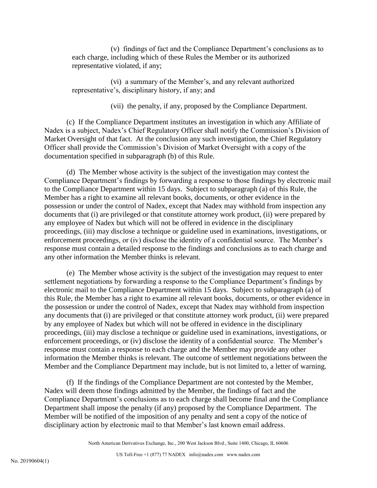(v) findings of fact and the Compliance Department's conclusions as to each charge, including which of these Rules the Member or its authorized representative violated, if any;

(vi) a summary of the Member's, and any relevant authorized representative's, disciplinary history, if any; and

(vii) the penalty, if any, proposed by the Compliance Department.

(c) If the Compliance Department institutes an investigation in which any Affiliate of Nadex is a subject, Nadex's Chief Regulatory Officer shall notify the Commission's Division of Market Oversight of that fact. At the conclusion any such investigation, the Chief Regulatory Officer shall provide the Commission's Division of Market Oversight with a copy of the documentation specified in subparagraph (b) of this Rule.

(d) The Member whose activity is the subject of the investigation may contest the Compliance Department's findings by forwarding a response to those findings by electronic mail to the Compliance Department within 15 days. Subject to subparagraph (a) of this Rule, the Member has a right to examine all relevant books, documents, or other evidence in the possession or under the control of Nadex, except that Nadex may withhold from inspection any documents that (i) are privileged or that constitute attorney work product, (ii) were prepared by any employee of Nadex but which will not be offered in evidence in the disciplinary proceedings, (iii) may disclose a technique or guideline used in examinations, investigations, or enforcement proceedings, or (iv) disclose the identity of a confidential source. The Member's response must contain a detailed response to the findings and conclusions as to each charge and any other information the Member thinks is relevant.

(e) The Member whose activity is the subject of the investigation may request to enter settlement negotiations by forwarding a response to the Compliance Department's findings by electronic mail to the Compliance Department within 15 days. Subject to subparagraph (a) of this Rule, the Member has a right to examine all relevant books, documents, or other evidence in the possession or under the control of Nadex, except that Nadex may withhold from inspection any documents that (i) are privileged or that constitute attorney work product, (ii) were prepared by any employee of Nadex but which will not be offered in evidence in the disciplinary proceedings, (iii) may disclose a technique or guideline used in examinations, investigations, or enforcement proceedings, or (iv) disclose the identity of a confidential source. The Member's response must contain a response to each charge and the Member may provide any other information the Member thinks is relevant. The outcome of settlement negotiations between the Member and the Compliance Department may include, but is not limited to, a letter of warning.

(f) If the findings of the Compliance Department are not contested by the Member, Nadex will deem those findings admitted by the Member, the findings of fact and the Compliance Department's conclusions as to each charge shall become final and the Compliance Department shall impose the penalty (if any) proposed by the Compliance Department. The Member will be notified of the imposition of any penalty and sent a copy of the notice of disciplinary action by electronic mail to that Member's last known email address.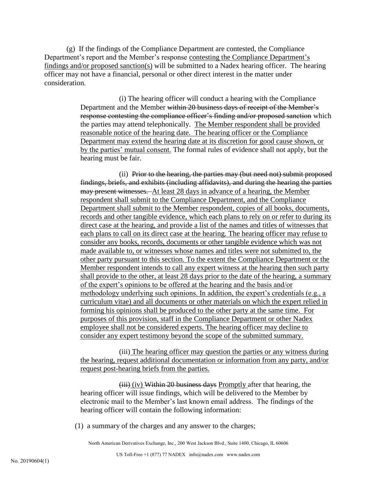(g) If the findings of the Compliance Department are contested, the Compliance Department's report and the Member's response contesting the Compliance Department's findings and/or proposed sanction(s) will be submitted to a Nadex hearing officer. The hearing officer may not have a financial, personal or other direct interest in the matter under consideration.

> (i) The hearing officer will conduct a hearing with the Compliance Department and the Member within 20 business days of receipt of the Member's response contesting the compliance officer's finding and/or proposed sanction which the parties may attend telephonically. The Member respondent shall be provided reasonable notice of the hearing date. The hearing officer or the Compliance Department may extend the hearing date at its discretion for good cause shown, or by the parties' mutual consent. The formal rules of evidence shall not apply, but the hearing must be fair.

> (ii) Prior to the hearing, the parties may (but need not) submit proposed findings, briefs, and exhibits (including affidavits), and during the hearing the parties may present witnesses. At least 28 days in advance of a hearing, the Member respondent shall submit to the Compliance Department, and the Compliance Department shall submit to the Member respondent, copies of all books, documents, records and other tangible evidence, which each plans to rely on or refer to during its direct case at the hearing, and provide a list of the names and titles of witnesses that each plans to call on its direct case at the hearing. The hearing officer may refuse to consider any books, records, documents or other tangible evidence which was not made available to, or witnesses whose names and titles were not submitted to, the other party pursuant to this section. To the extent the Compliance Department or the Member respondent intends to call any expert witness at the hearing then such party shall provide to the other, at least 28 days prior to the date of the hearing, a summary of the expert's opinions to be offered at the hearing and the basis and/or methodology underlying such opinions. In addition, the expert's credentials (e.g., a curriculum vitae) and all documents or other materials on which the expert relied in forming his opinions shall be produced to the other party at the same time. For purposes of this provision, staff in the Compliance Department or other Nadex employee shall not be considered experts. The hearing officer may decline to consider any expert testimony beyond the scope of the submitted summary.

(iii) The hearing officer may question the parties or any witness during the hearing, request additional documentation or information from any party, and/or request post-hearing briefs from the parties.

(iii) (iv) Within 20 business days Promptly after that hearing, the hearing officer will issue findings, which will be delivered to the Member by electronic mail to the Member's last known email address. The findings of the hearing officer will contain the following information:

(1) a summary of the charges and any answer to the charges;